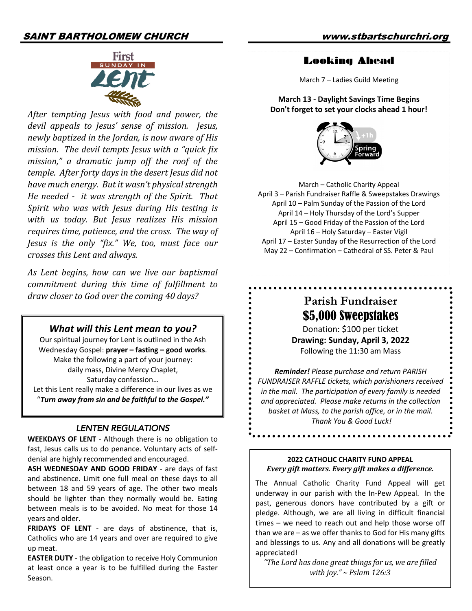## SAINT BARTHOLOMEW CHURCH www.stbartschurchri.org



After tempting *Jesus* with food and power, the devil appeals to *Jesus'* sense of mission. *Jesus*, *newly baptized in the Jordan, is now aware of His mission. The devil tempts Jesus with a "quick fix mission," a dramatic jump off the roof of the*  temple. After forty days in the desert Jesus did not have much energy. But it wasn't physical strength *He needed - it was strength of the Spirit. That Spirit* who was with *Jesus during His testing is* with us today. But *Jesus realizes His mission* requires time, patience, and the cross. The way of *Jesus is the only "fix." We, too, must face our crosses this Lent and always.*

As Lent begins, how can we live our baptismal *commitment during this time of fulfillment to* draw closer to God over the coming 40 days?

#### *What will this Lent mean to you?*

Our spiritual journey for Lent is outlined in the Ash Wednesday Gospel: **prayer – fasting – good works**. Make the following a part of your journey: daily mass, Divine Mercy Chaplet, Saturday confession… Let this Lent really make a difference in our lives as we "*Turn away from sin and be faithful to the Gospel."* 

#### *LENTEN REGULATIONS*

**WEEKDAYS OF LENT** - Although there is no obligation to fast, Jesus calls us to do penance. Voluntary acts of selfdenial are highly recommended and encouraged.

**ASH WEDNESDAY AND GOOD FRIDAY** - are days of fast and abstinence. Limit one full meal on these days to all between 18 and 59 years of age. The other two meals should be lighter than they normally would be. Eating between meals is to be avoided. No meat for those 14 years and older.

**FRIDAYS OF LENT** - are days of abstinence, that is, Catholics who are 14 years and over are required to give up meat.

**EASTER DUTY** - the obligation to receive Holy Communion at least once a year is to be fulfilled during the Easter Season.

### Looking Ahead

March 7 – Ladies Guild Meeting

**March 13 - Daylight Savings Time Begins Don't forget to set your clocks ahead 1 hour!**



March – Catholic Charity Appeal April 3 – Parish Fundraiser Raffle & Sweepstakes Drawings April 10 – Palm Sunday of the Passion of the Lord April 14 – Holy Thursday of the Lord's Supper April 15 – Good Friday of the Passion of the Lord April 16 – Holy Saturday – Easter Vigil April 17 – Easter Sunday of the Resurrection of the Lord May 22 – Confirmation – Cathedral of SS. Peter & Paul

# **Parish Fundraiser** \$5,000 Sweepstakes

Donation: \$100 per ticket **Drawing: Sunday, April 3, 2022** Following the 11:30 am Mass

*Reminder! Please purchase and return PARISH FUNDRAISER RAFFLE tickets, which parishioners received in the mail. The participation of every family is needed and appreciated. Please make returns in the collection basket at Mass, to the parish office, or in the mail. Thank You & Good Luck!*

. . . . . . . . . . . . . . . . . . .

#### **2022 CATHOLIC CHARITY FUND APPEAL** *Every gift matters. Every gift makes a difference.*

The Annual Catholic Charity Fund Appeal will get underway in our parish with the In-Pew Appeal. In the past, generous donors have contributed by a gift or pledge. Although, we are all living in difficult financial times – we need to reach out and help those worse off than we are – as we offer thanks to God for His many gifts and blessings to us. Any and all donations will be greatly appreciated!

*"The Lord has done great things for us, we are filled with joy." ~ Pslam 126:3*